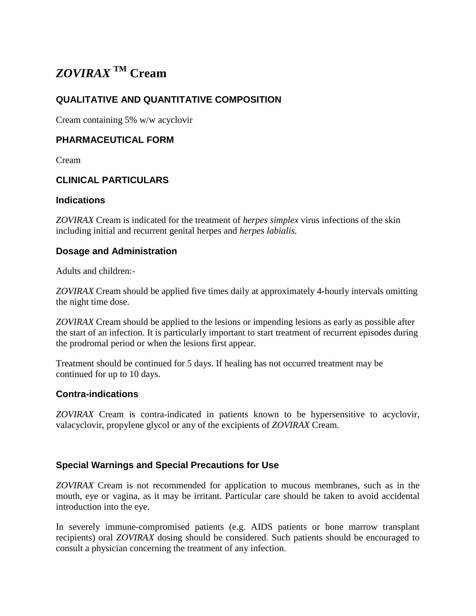# *ZOVIRAX* **TM Cream**

# **QUALITATIVE AND QUANTITATIVE COMPOSITION**

Cream containing 5% w/w acyclovir

#### **PHARMACEUTICAL FORM**

Cream

# **CLINICAL PARTICULARS**

#### **Indications**

*ZOVIRAX* Cream is indicated for the treatment of *herpes simplex* virus infections of the skin including initial and recurrent genital herpes and *herpes labialis.*

#### **Dosage and Administration**

Adults and children:-

*ZOVIRAX* Cream should be applied five times daily at approximately 4-hourly intervals omitting the night time dose.

*ZOVIRAX* Cream should be applied to the lesions or impending lesions as early as possible after the start of an infection. It is particularly important to start treatment of recurrent episodes during the prodromal period or when the lesions first appear.

Treatment should be continued for 5 days. If healing has not occurred treatment may be continued for up to 10 days.

#### **Contra-indications**

*ZOVIRAX* Cream is contra-indicated in patients known to be hypersensitive to acyclovir, valacyclovir, propylene glycol or any of the excipients of *ZOVIRAX* Cream.

#### **Special Warnings and Special Precautions for Use**

*ZOVIRAX* Cream is not recommended for application to mucous membranes, such as in the mouth, eye or vagina, as it may be irritant. Particular care should be taken to avoid accidental introduction into the eye.

In severely immune-compromised patients (e.g. AIDS patients or bone marrow transplant recipients) oral *ZOVIRAX* dosing should be considered. Such patients should be encouraged to consult a physician concerning the treatment of any infection.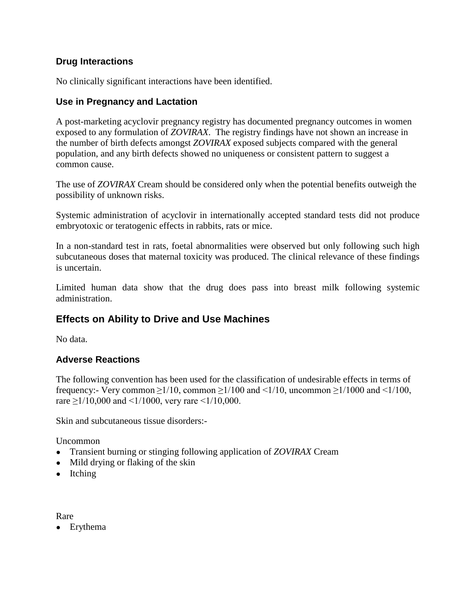# **Drug Interactions**

No clinically significant interactions have been identified.

# **Use in Pregnancy and Lactation**

A post-marketing acyclovir pregnancy registry has documented pregnancy outcomes in women exposed to any formulation of *ZOVIRAX*. The registry findings have not shown an increase in the number of birth defects amongst *ZOVIRAX* exposed subjects compared with the general population, and any birth defects showed no uniqueness or consistent pattern to suggest a common cause.

The use of *ZOVIRAX* Cream should be considered only when the potential benefits outweigh the possibility of unknown risks.

Systemic administration of acyclovir in internationally accepted standard tests did not produce embryotoxic or teratogenic effects in rabbits, rats or mice.

In a non-standard test in rats, foetal abnormalities were observed but only following such high subcutaneous doses that maternal toxicity was produced. The clinical relevance of these findings is uncertain.

Limited human data show that the drug does pass into breast milk following systemic administration.

# **Effects on Ability to Drive and Use Machines**

No data.

# **Adverse Reactions**

The following convention has been used for the classification of undesirable effects in terms of frequency:- Very common  $\geq 1/10$ , common  $\geq 1/100$  and  $\leq 1/10$ , uncommon  $\geq 1/1000$  and  $\leq 1/100$ , rare  $\geq$ 1/10,000 and <1/1000, very rare <1/10,000.

Skin and subcutaneous tissue disorders:-

Uncommon

- Transient burning or stinging following application of *ZOVIRAX* Cream
- Mild drying or flaking of the skin
- Itching

Rare

• Erythema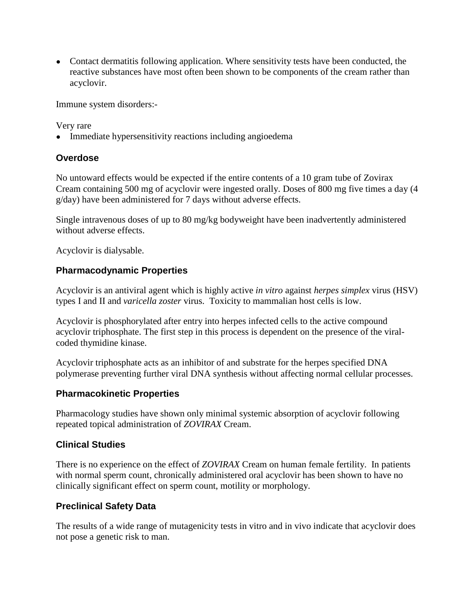• Contact dermatitis following application. Where sensitivity tests have been conducted, the reactive substances have most often been shown to be components of the cream rather than acyclovir.

Immune system disorders:-

Very rare

• Immediate hypersensitivity reactions including angioedema

# **Overdose**

No untoward effects would be expected if the entire contents of a 10 gram tube of Zovirax Cream containing 500 mg of acyclovir were ingested orally. Doses of 800 mg five times a day (4 g/day) have been administered for 7 days without adverse effects.

Single intravenous doses of up to 80 mg/kg bodyweight have been inadvertently administered without adverse effects.

Acyclovir is dialysable.

# **Pharmacodynamic Properties**

Acyclovir is an antiviral agent which is highly active *in vitro* against *herpes simplex* virus (HSV) types I and II and *varicella zoster* virus. Toxicity to mammalian host cells is low.

Acyclovir is phosphorylated after entry into herpes infected cells to the active compound acyclovir triphosphate. The first step in this process is dependent on the presence of the viralcoded thymidine kinase.

Acyclovir triphosphate acts as an inhibitor of and substrate for the herpes specified DNA polymerase preventing further viral DNA synthesis without affecting normal cellular processes.

# **Pharmacokinetic Properties**

Pharmacology studies have shown only minimal systemic absorption of acyclovir following repeated topical administration of *ZOVIRAX* Cream.

# **Clinical Studies**

There is no experience on the effect of *ZOVIRAX* Cream on human female fertility. In patients with normal sperm count, chronically administered oral acyclovir has been shown to have no clinically significant effect on sperm count, motility or morphology.

# **Preclinical Safety Data**

The results of a wide range of mutagenicity tests in vitro and in vivo indicate that acyclovir does not pose a genetic risk to man.